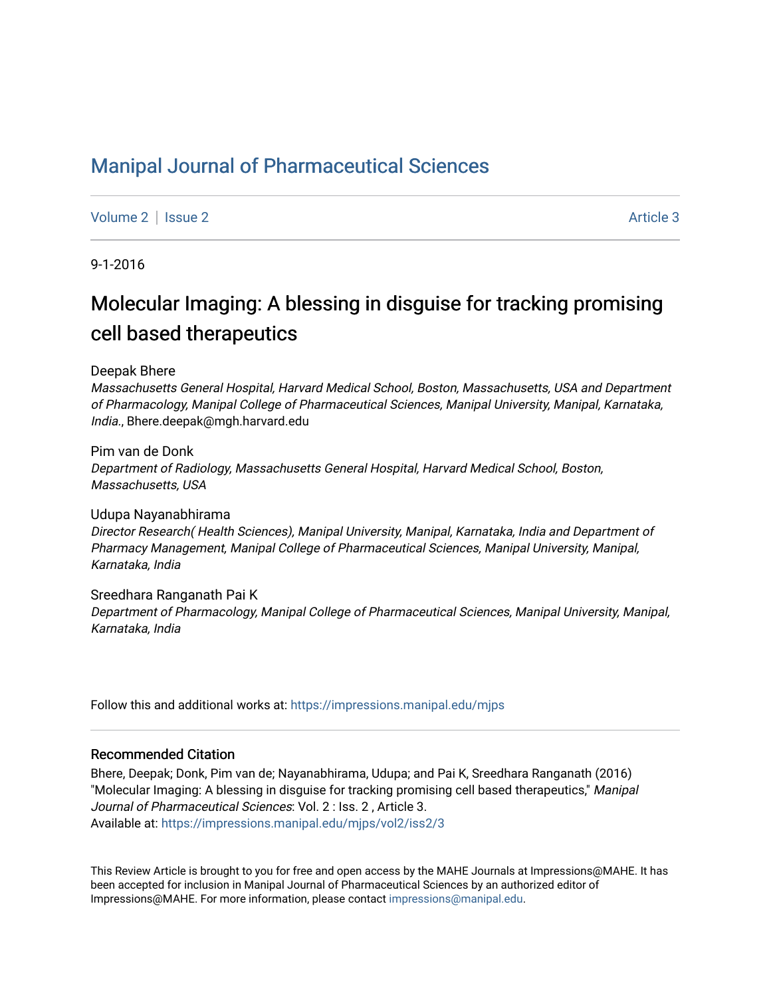## [Manipal Journal of Pharmaceutical Sciences](https://impressions.manipal.edu/mjps)

[Volume 2](https://impressions.manipal.edu/mjps/vol2) | [Issue 2](https://impressions.manipal.edu/mjps/vol2/iss2) Article 3

9-1-2016

# Molecular Imaging: A blessing in disguise for tracking promising cell based therapeutics

Deepak Bhere

Massachusetts General Hospital, Harvard Medical School, Boston, Massachusetts, USA and Department of Pharmacology, Manipal College of Pharmaceutical Sciences, Manipal University, Manipal, Karnataka, India., Bhere.deepak@mgh.harvard.edu

Pim van de Donk Department of Radiology, Massachusetts General Hospital, Harvard Medical School, Boston, Massachusetts, USA

Udupa Nayanabhirama Director Research( Health Sciences), Manipal University, Manipal, Karnataka, India and Department of Pharmacy Management, Manipal College of Pharmaceutical Sciences, Manipal University, Manipal, Karnataka, India

Sreedhara Ranganath Pai K Department of Pharmacology, Manipal College of Pharmaceutical Sciences, Manipal University, Manipal, Karnataka, India

Follow this and additional works at: [https://impressions.manipal.edu/mjps](https://impressions.manipal.edu/mjps?utm_source=impressions.manipal.edu%2Fmjps%2Fvol2%2Fiss2%2F3&utm_medium=PDF&utm_campaign=PDFCoverPages)

#### Recommended Citation

Bhere, Deepak; Donk, Pim van de; Nayanabhirama, Udupa; and Pai K, Sreedhara Ranganath (2016) "Molecular Imaging: A blessing in disguise for tracking promising cell based therapeutics," Manipal Journal of Pharmaceutical Sciences: Vol. 2 : Iss. 2 , Article 3. Available at: [https://impressions.manipal.edu/mjps/vol2/iss2/3](https://impressions.manipal.edu/mjps/vol2/iss2/3?utm_source=impressions.manipal.edu%2Fmjps%2Fvol2%2Fiss2%2F3&utm_medium=PDF&utm_campaign=PDFCoverPages)

This Review Article is brought to you for free and open access by the MAHE Journals at Impressions@MAHE. It has been accepted for inclusion in Manipal Journal of Pharmaceutical Sciences by an authorized editor of Impressions@MAHE. For more information, please contact [impressions@manipal.edu](mailto:impressions@manipal.edu).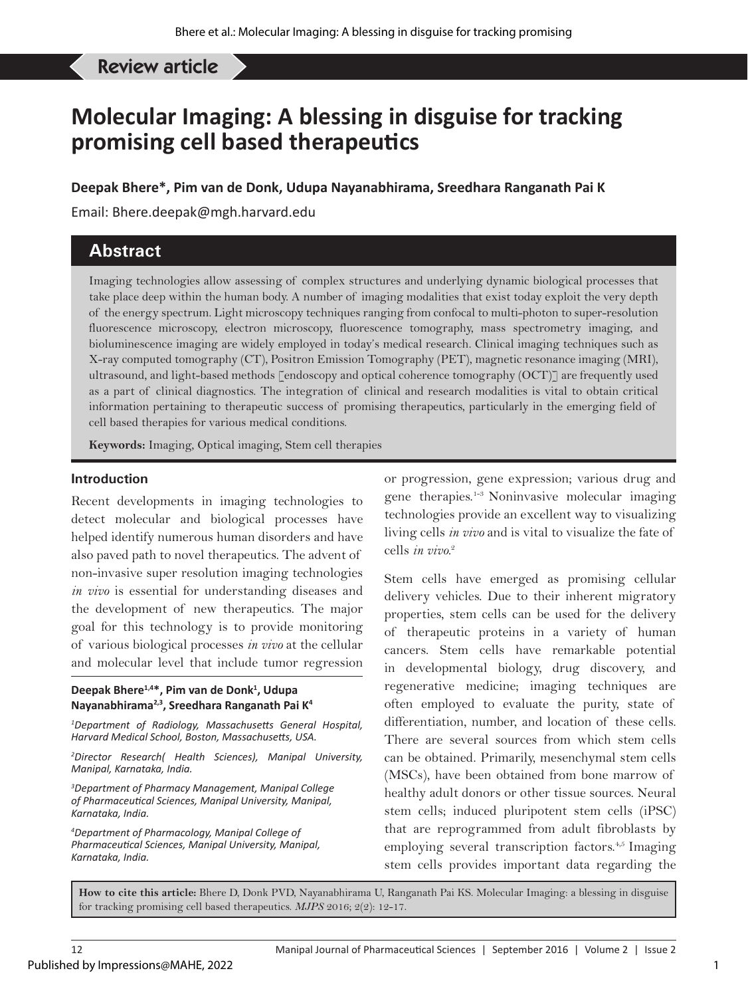Review article

## **Molecular Imaging: A blessing in disguise for tracking promising cell based therapeutics**

**Deepak Bhere\*, Pim van de Donk, Udupa Nayanabhirama, Sreedhara Ranganath Pai K**

Email: Bhere.deepak@mgh.harvard.edu

## **Abstract**

Imaging technologies allow assessing of complex structures and underlying dynamic biological processes that take place deep within the human body. A number of imaging modalities that exist today exploit the very depth of the energy spectrum. Light microscopy techniques ranging from confocal to multi-photon to super-resolution fluorescence microscopy, electron microscopy, fluorescence tomography, mass spectrometry imaging, and bioluminescence imaging are widely employed in today's medical research. Clinical imaging techniques such as X-ray computed tomography (CT), Positron Emission Tomography (PET), magnetic resonance imaging (MRI), ultrasound, and light-based methods [endoscopy and optical coherence tomography (OCT)] are frequently used as a part of clinical diagnostics. The integration of clinical and research modalities is vital to obtain critical information pertaining to therapeutic success of promising therapeutics, particularly in the emerging field of cell based therapies for various medical conditions.

**Keywords:** Imaging, Optical imaging, Stem cell therapies

#### **Introduction**

Recent developments in imaging technologies to detect molecular and biological processes have helped identify numerous human disorders and have also paved path to novel therapeutics. The advent of non-invasive super resolution imaging technologies *in vivo* is essential for understanding diseases and the development of new therapeutics. The major goal for this technology is to provide monitoring of various biological processes *in vivo* at the cellular and molecular level that include tumor regression

#### **Deepak Bhere1,4\*, Pim van de Donk1 , Udupa Nayanabhirama2,3, Sreedhara Ranganath Pai K4**

*1 Department of Radiology, Massachusetts General Hospital, Harvard Medical School, Boston, Massachusetts, USA.*

*2 Director Research( Health Sciences), Manipal University, Manipal, Karnataka, India.*

*3 Department of Pharmacy Management, Manipal College of Pharmaceutical Sciences, Manipal University, Manipal, Karnataka, India.*

*4 Department of Pharmacology, Manipal College of Pharmaceutical Sciences, Manipal University, Manipal, Karnataka, India.*

or progression, gene expression; various drug and gene therapies.1-3 Noninvasive molecular imaging technologies provide an excellent way to visualizing living cells *in vivo* and is vital to visualize the fate of cells *in vivo.*<sup>2</sup>

Stem cells have emerged as promising cellular delivery vehicles. Due to their inherent migratory properties, stem cells can be used for the delivery of therapeutic proteins in a variety of human cancers. Stem cells have remarkable potential in developmental biology, drug discovery, and regenerative medicine; imaging techniques are often employed to evaluate the purity, state of differentiation, number, and location of these cells. There are several sources from which stem cells can be obtained. Primarily, mesenchymal stem cells (MSCs), have been obtained from bone marrow of healthy adult donors or other tissue sources. Neural stem cells; induced pluripotent stem cells (iPSC) that are reprogrammed from adult fibroblasts by employing several transcription factors.<sup>4,5</sup> Imaging stem cells provides important data regarding the

**How to cite this article:** Bhere D, Donk PVD, Nayanabhirama U, Ranganath Pai KS. Molecular Imaging: a blessing in disguise for tracking promising cell based therapeutics. *MJPS* 2016; 2(2): 12-17.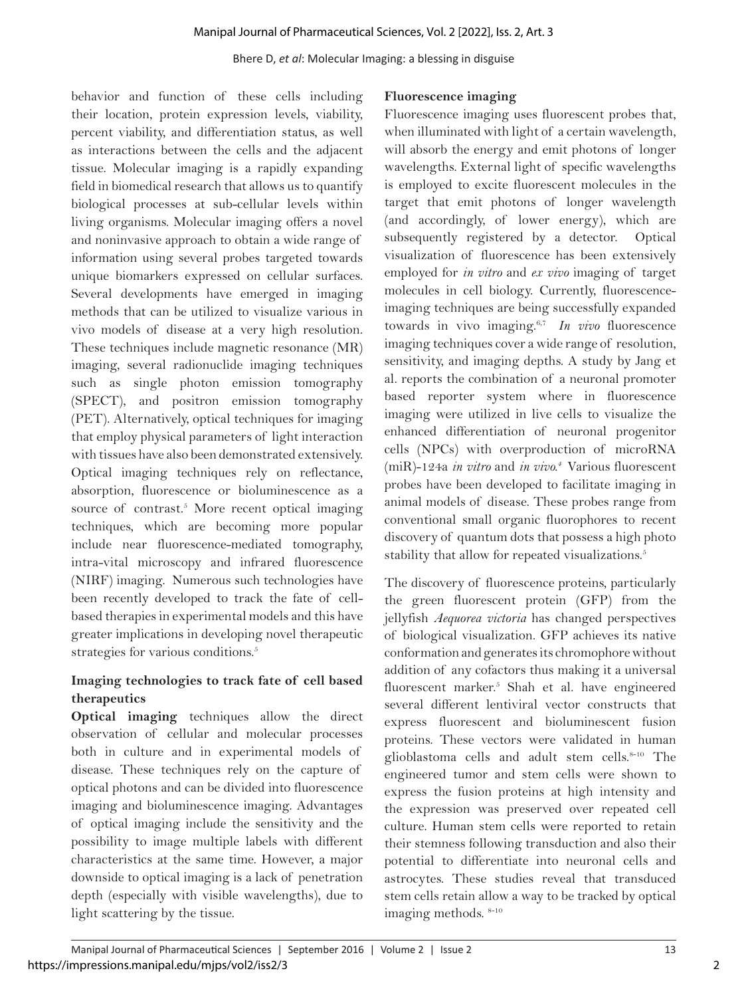behavior and function of these cells including their location, protein expression levels, viability, percent viability, and differentiation status, as well as interactions between the cells and the adjacent tissue. Molecular imaging is a rapidly expanding field in biomedical research that allows us to quantify biological processes at sub-cellular levels within living organisms. Molecular imaging offers a novel and noninvasive approach to obtain a wide range of information using several probes targeted towards unique biomarkers expressed on cellular surfaces. Several developments have emerged in imaging methods that can be utilized to visualize various in vivo models of disease at a very high resolution. These techniques include magnetic resonance (MR) imaging, several radionuclide imaging techniques such as single photon emission tomography (SPECT), and positron emission tomography (PET). Alternatively, optical techniques for imaging that employ physical parameters of light interaction with tissues have also been demonstrated extensively. Optical imaging techniques rely on reflectance, absorption, fluorescence or bioluminescence as a source of contrast.<sup>5</sup> More recent optical imaging techniques, which are becoming more popular include near fluorescence-mediated tomography, intra-vital microscopy and infrared fluorescence (NIRF) imaging. Numerous such technologies have been recently developed to track the fate of cellbased therapies in experimental models and this have greater implications in developing novel therapeutic strategies for various conditions.<sup>5</sup>

## **Imaging technologies to track fate of cell based therapeutics**

**Optical imaging** techniques allow the direct observation of cellular and molecular processes both in culture and in experimental models of disease. These techniques rely on the capture of optical photons and can be divided into fluorescence imaging and bioluminescence imaging. Advantages of optical imaging include the sensitivity and the possibility to image multiple labels with different characteristics at the same time. However, a major downside to optical imaging is a lack of penetration depth (especially with visible wavelengths), due to light scattering by the tissue.

### **Fluorescence imaging**

Fluorescence imaging uses fluorescent probes that, when illuminated with light of a certain wavelength, will absorb the energy and emit photons of longer wavelengths. External light of specific wavelengths is employed to excite fluorescent molecules in the target that emit photons of longer wavelength (and accordingly, of lower energy), which are subsequently registered by a detector. Optical visualization of fluorescence has been extensively employed for *in vitro* and *ex vivo* imaging of target molecules in cell biology. Currently, fluorescenceimaging techniques are being successfully expanded towards in vivo imaging.6,7 *In vivo* fluorescence imaging techniques cover a wide range of resolution, sensitivity, and imaging depths. A study by Jang et al. reports the combination of a neuronal promoter based reporter system where in fluorescence imaging were utilized in live cells to visualize the enhanced differentiation of neuronal progenitor cells (NPCs) with overproduction of microRNA (miR)-124a *in vitro* and *in vivo.4* Various fluorescent probes have been developed to facilitate imaging in animal models of disease. These probes range from conventional small organic fluorophores to recent discovery of quantum dots that possess a high photo stability that allow for repeated visualizations.<sup>5</sup>

The discovery of fluorescence proteins, particularly the green fluorescent protein (GFP) from the jellyfish *Aequorea victoria* has changed perspectives of biological visualization. GFP achieves its native conformation and generates its chromophore without addition of any cofactors thus making it a universal fluorescent marker.<sup>5</sup> Shah et al. have engineered several different lentiviral vector constructs that express fluorescent and bioluminescent fusion proteins. These vectors were validated in human glioblastoma cells and adult stem cells.<sup>8-10</sup> The engineered tumor and stem cells were shown to express the fusion proteins at high intensity and the expression was preserved over repeated cell culture. Human stem cells were reported to retain their stemness following transduction and also their potential to differentiate into neuronal cells and astrocytes. These studies reveal that transduced stem cells retain allow a way to be tracked by optical imaging methods. 8-10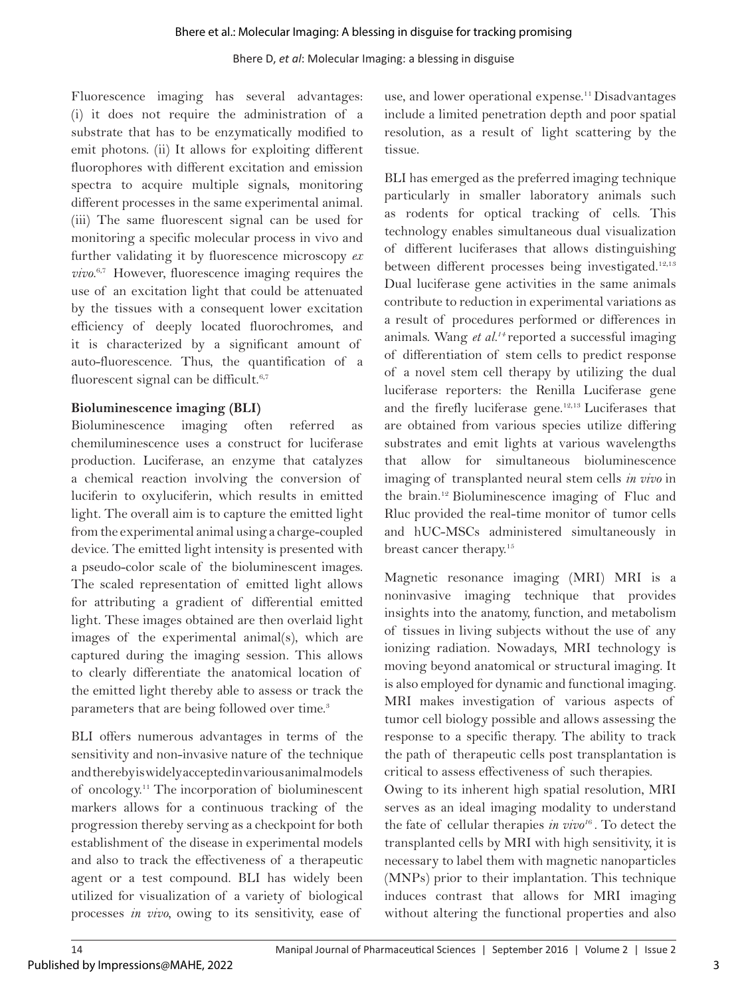Fluorescence imaging has several advantages: (i) it does not require the administration of a substrate that has to be enzymatically modified to emit photons. (ii) It allows for exploiting different fluorophores with different excitation and emission spectra to acquire multiple signals, monitoring different processes in the same experimental animal. (iii) The same fluorescent signal can be used for monitoring a specific molecular process in vivo and further validating it by fluorescence microscopy *ex vivo*. 6,7 However, fluorescence imaging requires the use of an excitation light that could be attenuated by the tissues with a consequent lower excitation efficiency of deeply located fluorochromes, and it is characterized by a significant amount of auto-fluorescence. Thus, the quantification of a fluorescent signal can be difficult.<sup>6,7</sup>

### **Bioluminescence imaging (BLI)**

Bioluminescence imaging often referred as chemiluminescence uses a construct for luciferase production. Luciferase, an enzyme that catalyzes a chemical reaction involving the conversion of luciferin to oxyluciferin, which results in emitted light. The overall aim is to capture the emitted light from the experimental animal using a charge-coupled device. The emitted light intensity is presented with a pseudo-color scale of the bioluminescent images. The scaled representation of emitted light allows for attributing a gradient of differential emitted light. These images obtained are then overlaid light images of the experimental animal(s), which are captured during the imaging session. This allows to clearly differentiate the anatomical location of the emitted light thereby able to assess or track the parameters that are being followed over time.<sup>3</sup>

BLI offers numerous advantages in terms of the sensitivity and non-invasive nature of the technique and thereby is widely accepted in various animal models of oncology.11 The incorporation of bioluminescent markers allows for a continuous tracking of the progression thereby serving as a checkpoint for both establishment of the disease in experimental models and also to track the effectiveness of a therapeutic agent or a test compound. BLI has widely been utilized for visualization of a variety of biological processes *in vivo,* owing to its sensitivity, ease of

use, and lower operational expense.<sup>11</sup> Disadvantages include a limited penetration depth and poor spatial resolution, as a result of light scattering by the tissue.

BLI has emerged as the preferred imaging technique particularly in smaller laboratory animals such as rodents for optical tracking of cells. This technology enables simultaneous dual visualization of different luciferases that allows distinguishing between different processes being investigated.<sup>12,13</sup> Dual luciferase gene activities in the same animals contribute to reduction in experimental variations as a result of procedures performed or differences in animals. Wang *et al.14* reported a successful imaging of differentiation of stem cells to predict response of a novel stem cell therapy by utilizing the dual luciferase reporters: the Renilla Luciferase gene and the firefly luciferase gene.12,13 Luciferases that are obtained from various species utilize differing substrates and emit lights at various wavelengths that allow for simultaneous bioluminescence imaging of transplanted neural stem cells *in vivo* in the brain.12 Bioluminescence imaging of Fluc and Rluc provided the real-time monitor of tumor cells and hUC-MSCs administered simultaneously in breast cancer therapy.15

Magnetic resonance imaging (MRI) MRI is a noninvasive imaging technique that provides insights into the anatomy, function, and metabolism of tissues in living subjects without the use of any ionizing radiation. Nowadays, MRI technology is moving beyond anatomical or structural imaging. It is also employed for dynamic and functional imaging. MRI makes investigation of various aspects of tumor cell biology possible and allows assessing the response to a specific therapy. The ability to track the path of therapeutic cells post transplantation is critical to assess effectiveness of such therapies.

Owing to its inherent high spatial resolution, MRI serves as an ideal imaging modality to understand the fate of cellular therapies *in vivo1*6 . To detect the transplanted cells by MRI with high sensitivity, it is necessary to label them with magnetic nanoparticles (MNPs) prior to their implantation. This technique induces contrast that allows for MRI imaging without altering the functional properties and also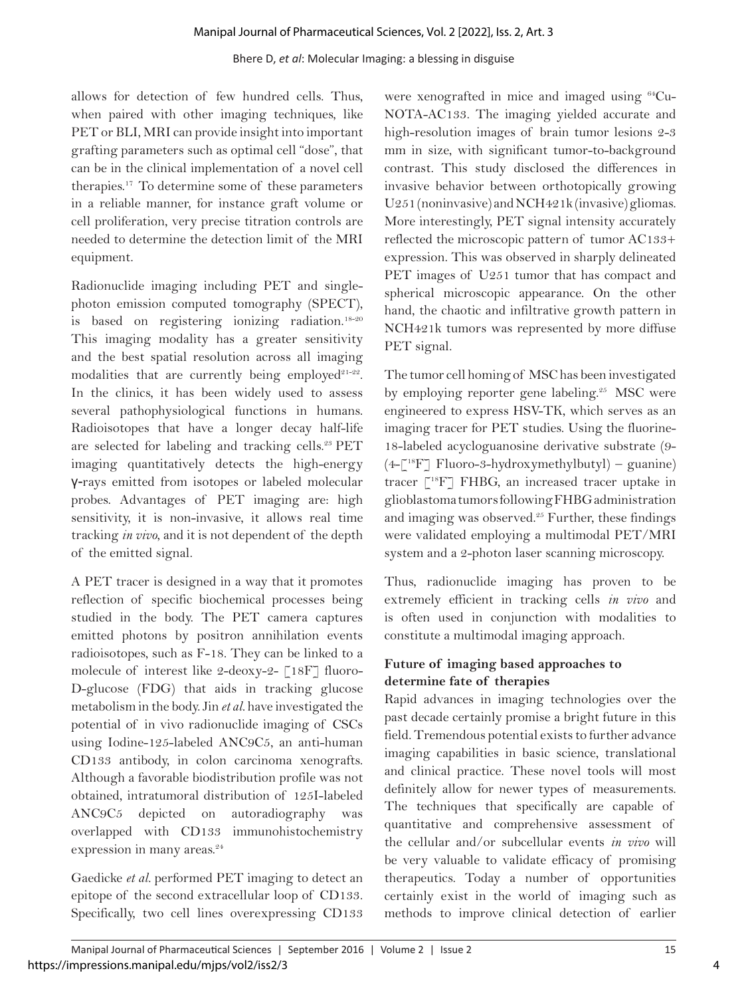allows for detection of few hundred cells. Thus, when paired with other imaging techniques, like PET or BLI, MRI can provide insight into important grafting parameters such as optimal cell "dose", that can be in the clinical implementation of a novel cell therapies.17 To determine some of these parameters in a reliable manner, for instance graft volume or cell proliferation, very precise titration controls are needed to determine the detection limit of the MRI equipment.

Radionuclide imaging including PET and singlephoton emission computed tomography (SPECT), is based on registering ionizing radiation.<sup>18-20</sup> This imaging modality has a greater sensitivity and the best spatial resolution across all imaging modalities that are currently being employed $21-22$ . In the clinics, it has been widely used to assess several pathophysiological functions in humans. Radioisotopes that have a longer decay half-life are selected for labeling and tracking cells.<sup>23</sup> PET imaging quantitatively detects the high-energy γ-rays emitted from isotopes or labeled molecular probes. Advantages of PET imaging are: high sensitivity, it is non-invasive, it allows real time tracking *in vivo*, and it is not dependent of the depth of the emitted signal.

A PET tracer is designed in a way that it promotes reflection of specific biochemical processes being studied in the body. The PET camera captures emitted photons by positron annihilation events radioisotopes, such as F-18. They can be linked to a molecule of interest like 2-deoxy-2- [18F] fluoro-D-glucose (FDG) that aids in tracking glucose metabolism in the body. Jin *et al.* have investigated the potential of in vivo radionuclide imaging of CSCs using Iodine-125-labeled ANC9C5, an anti-human CD133 antibody, in colon carcinoma xenografts. Although a favorable biodistribution profile was not obtained, intratumoral distribution of 125I-labeled ANC9C5 depicted on autoradiography was overlapped with CD133 immunohistochemistry expression in many areas.<sup>24</sup>

Gaedicke *et al.* performed PET imaging to detect an epitope of the second extracellular loop of CD133. Specifically, two cell lines overexpressing CD133

were xenografted in mice and imaged using 64Cu-NOTA-AC133. The imaging yielded accurate and high-resolution images of brain tumor lesions 2-3 mm in size, with significant tumor-to-background contrast. This study disclosed the differences in invasive behavior between orthotopically growing U251 (noninvasive) and NCH421k (invasive) gliomas. More interestingly, PET signal intensity accurately reflected the microscopic pattern of tumor AC133+ expression. This was observed in sharply delineated PET images of U251 tumor that has compact and spherical microscopic appearance. On the other hand, the chaotic and infiltrative growth pattern in NCH421k tumors was represented by more diffuse PET signal.

The tumor cell homing of MSC has been investigated by employing reporter gene labeling.<sup>25</sup> MSC were engineered to express HSV-TK, which serves as an imaging tracer for PET studies. Using the fluorine-18-labeled acycloguanosine derivative substrate (9-  $(4-\lceil^{18}F\rceil$  Fluoro-3-hydroxymethylbutyl) – guanine) tracer [18F] FHBG, an increased tracer uptake in glioblastoma tumors following FHBG administration and imaging was observed. $25$  Further, these findings were validated employing a multimodal PET/MRI system and a 2-photon laser scanning microscopy.

Thus, radionuclide imaging has proven to be extremely efficient in tracking cells *in vivo* and is often used in conjunction with modalities to constitute a multimodal imaging approach.

## **Future of imaging based approaches to determine fate of therapies**

Rapid advances in imaging technologies over the past decade certainly promise a bright future in this field. Tremendous potential exists to further advance imaging capabilities in basic science, translational and clinical practice. These novel tools will most definitely allow for newer types of measurements. The techniques that specifically are capable of quantitative and comprehensive assessment of the cellular and/or subcellular events *in vivo* will be very valuable to validate efficacy of promising therapeutics. Today a number of opportunities certainly exist in the world of imaging such as methods to improve clinical detection of earlier

4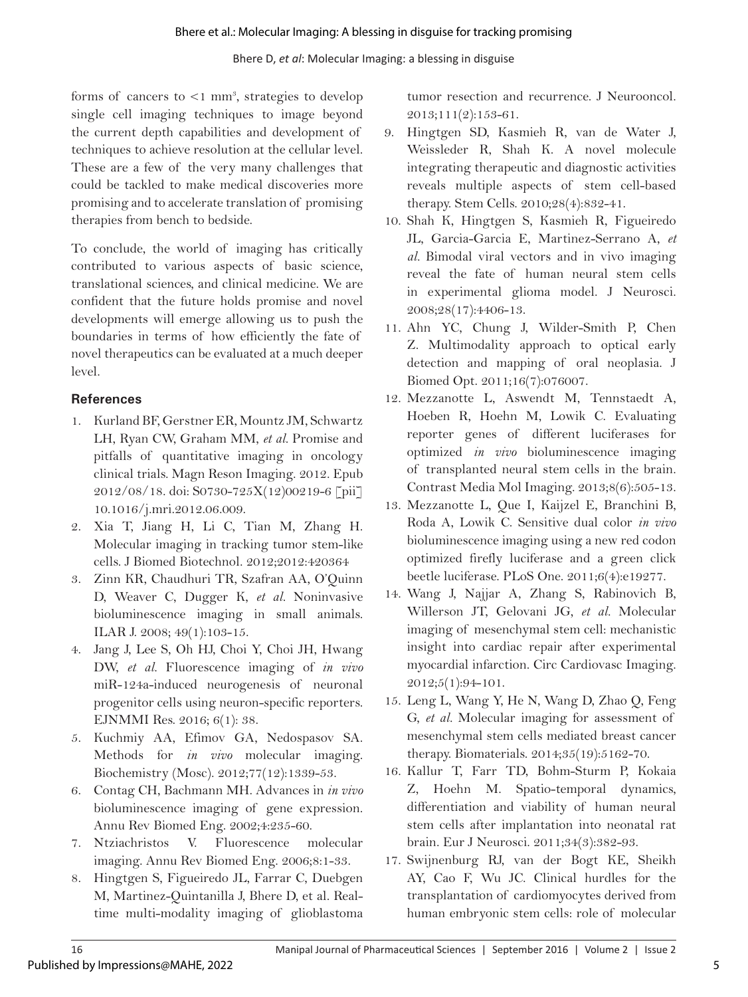forms of cancers to <1 mm<sup>3</sup>, strategies to develop single cell imaging techniques to image beyond the current depth capabilities and development of techniques to achieve resolution at the cellular level. These are a few of the very many challenges that could be tackled to make medical discoveries more promising and to accelerate translation of promising therapies from bench to bedside.

To conclude, the world of imaging has critically contributed to various aspects of basic science, translational sciences, and clinical medicine. We are confident that the future holds promise and novel developments will emerge allowing us to push the boundaries in terms of how efficiently the fate of novel therapeutics can be evaluated at a much deeper level.

## **References**

- 1. Kurland BF, Gerstner ER, Mountz JM, Schwartz LH, Ryan CW, Graham MM, *et al.* Promise and pitfalls of quantitative imaging in oncology clinical trials. Magn Reson Imaging. 2012. Epub 2012/08/18. doi: S0730-725X(12)00219-6 [pii] 10.1016/j.mri.2012.06.009.
- 2. Xia T, Jiang H, Li C, Tian M, Zhang H. Molecular imaging in tracking tumor stem-like cells. J Biomed Biotechnol. 2012;2012:420364
- 3. Zinn KR, Chaudhuri TR, Szafran AA, O'Quinn D, Weaver C, Dugger K, *et al.* Noninvasive bioluminescence imaging in small animals. ILAR J. 2008; 49(1):103-15.
- 4. Jang J, Lee S, Oh HJ, Choi Y, Choi JH, Hwang DW, *et al.* Fluorescence imaging of *in vivo*  miR-124a-induced neurogenesis of neuronal progenitor cells using neuron-specific reporters. EJNMMI Res. 2016; 6(1): 38.
- 5. Kuchmiy AA, Efimov GA, Nedospasov SA. Methods for *in vivo* molecular imaging. Biochemistry (Mosc). 2012;77(12):1339-53.
- 6. Contag CH, Bachmann MH. Advances in *in vivo*  bioluminescence imaging of gene expression. Annu Rev Biomed Eng. 2002;4:235-60.
- 7. Ntziachristos V. Fluorescence molecular imaging. Annu Rev Biomed Eng. 2006;8:1-33.
- 8. Hingtgen S, Figueiredo JL, Farrar C, Duebgen M, Martinez-Quintanilla J, Bhere D, et al. Realtime multi-modality imaging of glioblastoma

tumor resection and recurrence. J Neurooncol.  $2013;111(2):153-61.$ 

- 9. Hingtgen SD, Kasmieh R, van de Water J, Weissleder R, Shah K. A novel molecule integrating therapeutic and diagnostic activities reveals multiple aspects of stem cell-based therapy. Stem Cells. 2010;28(4):832-41.
- 10. Shah K, Hingtgen S, Kasmieh R, Figueiredo JL, Garcia-Garcia E, Martinez-Serrano A, *et al.* Bimodal viral vectors and in vivo imaging reveal the fate of human neural stem cells in experimental glioma model. J Neurosci. 2008;28(17):4406-13.
- 11. Ahn YC, Chung J, Wilder-Smith P, Chen Z. Multimodality approach to optical early detection and mapping of oral neoplasia. J Biomed Opt. 2011;16(7):076007.
- 12. Mezzanotte L, Aswendt M, Tennstaedt A, Hoeben R, Hoehn M, Lowik C. Evaluating reporter genes of different luciferases for optimized *in vivo* bioluminescence imaging of transplanted neural stem cells in the brain. Contrast Media Mol Imaging. 2013;8(6):505-13.
- 13. Mezzanotte L, Que I, Kaijzel E, Branchini B, Roda A, Lowik C. Sensitive dual color *in vivo*  bioluminescence imaging using a new red codon optimized firefly luciferase and a green click beetle luciferase. PLoS One. 2011;6(4):e19277.
- 14. Wang J, Najjar A, Zhang S, Rabinovich B, Willerson JT, Gelovani JG*, et al.* Molecular imaging of mesenchymal stem cell: mechanistic insight into cardiac repair after experimental myocardial infarction. Circ Cardiovasc Imaging. 2012;5(1):94-101.
- 15. Leng L, Wang Y, He N, Wang D, Zhao Q, Feng G, *et al.* Molecular imaging for assessment of mesenchymal stem cells mediated breast cancer therapy. Biomaterials. 2014;35(19):5162-70.
- 16. Kallur T, Farr TD, Bohm-Sturm P, Kokaia Z, Hoehn M. Spatio-temporal dynamics, differentiation and viability of human neural stem cells after implantation into neonatal rat brain. Eur J Neurosci. 2011;34(3):382-93.
- 17. Swijnenburg RJ, van der Bogt KE, Sheikh AY, Cao F, Wu JC. Clinical hurdles for the transplantation of cardiomyocytes derived from human embryonic stem cells: role of molecular